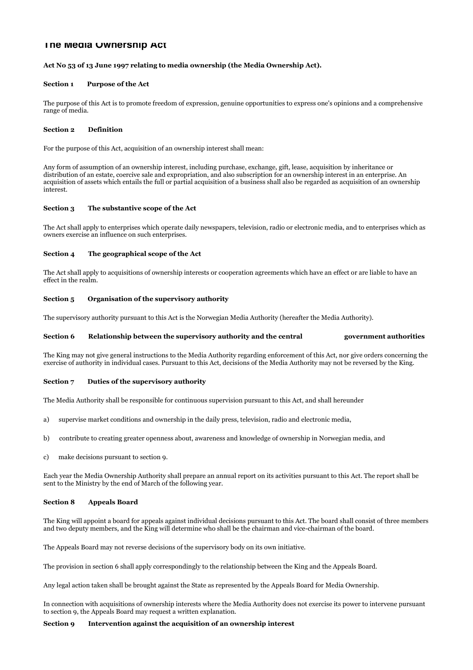# **The Media Ownership Act**

## Act No 53 of 13 June 1997 relating to media ownership (the Media Ownership Act).

#### Section 1 Purpose of the Act

The purpose of this Act is to promote freedom of expression, genuine opportunities to express one's opinions and a comprehensive range of media.

#### Section 2 Definition

For the purpose of this Act, acquisition of an ownership interest shall mean:

Any form of assumption of an ownership interest, including purchase, exchange, gift, lease, acquisition by inheritance or distribution of an estate, coercive sale and expropriation, and also subscription for an ownership interest in an enterprise. An acquisition of assets which entails the full or partial acquisition of a business shall also be regarded as acquisition of an ownership interest.

### Section 3 The substantive scope of the Act

The Act shall apply to enterprises which operate daily newspapers, television, radio or electronic media, and to enterprises which as owners exercise an influence on such enterprises.

### Section 4 The geographical scope of the Act

The Act shall apply to acquisitions of ownership interests or cooperation agreements which have an effect or are liable to have an effect in the realm.

# Section 5 Organisation of the supervisory authority

The supervisory authority pursuant to this Act is the Norwegian Media Authority (hereafter the Media Authority).

#### Section 6 Relationship between the supervisory authority and the central government authorities

The King may not give general instructions to the Media Authority regarding enforcement of this Act, nor give orders concerning the exercise of authority in individual cases. Pursuant to this Act, decisions of the Media Authority may not be reversed by the King.

#### Section 7 Duties of the supervisory authority

The Media Authority shall be responsible for continuous supervision pursuant to this Act, and shall hereunder

- a) supervise market conditions and ownership in the daily press, television, radio and electronic media,
- b) contribute to creating greater openness about, awareness and knowledge of ownership in Norwegian media, and
- c) make decisions pursuant to section 9.

Each year the Media Ownership Authority shall prepare an annual report on its activities pursuant to this Act. The report shall be sent to the Ministry by the end of March of the following year.

# Section 8 Appeals Board

The King will appoint a board for appeals against individual decisions pursuant to this Act. The board shall consist of three members and two deputy members, and the King will determine who shall be the chairman and vice-chairman of the board.

The Appeals Board may not reverse decisions of the supervisory body on its own initiative.

The provision in section 6 shall apply correspondingly to the relationship between the King and the Appeals Board.

Any legal action taken shall be brought against the State as represented by the Appeals Board for Media Ownership.

In connection with acquisitions of ownership interests where the Media Authority does not exercise its power to intervene pursuant to section 9, the Appeals Board may request a written explanation.

#### Section 9 Intervention against the acquisition of an ownership interest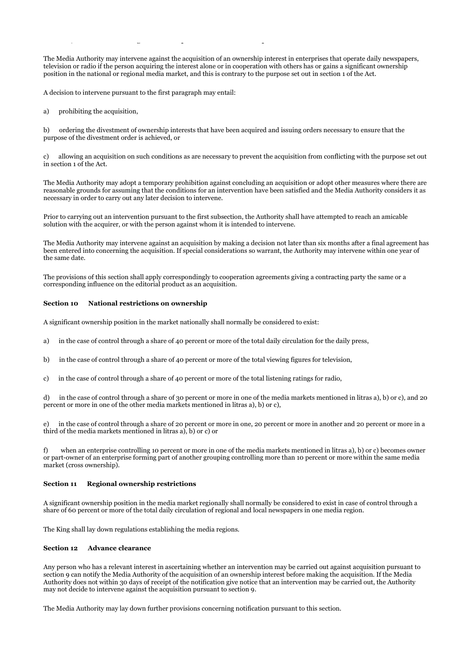The Media Authority may intervene against the acquisition of an ownership interest in enterprises that operate daily newspapers, television or radio if the person acquiring the interest alone or in cooperation with others has or gains a significant ownership position in the national or regional media market, and this is contrary to the purpose set out in section 1 of the Act.

A decision to intervene pursuant to the first paragraph may entail:

Section 9 Intervention against the acquisition of an ownership interest

a) prohibiting the acquisition.

b) ordering the divestment of ownership interests that have been acquired and issuing orders necessary to ensure that the purpose of the divestment order is achieved, or

c) allowing an acquisition on such conditions as are necessary to prevent the acquisition from conflicting with the purpose set out in section 1 of the Act.

The Media Authority may adopt a temporary prohibition against concluding an acquisition or adopt other measures where there are reasonable grounds for assuming that the conditions for an intervention have been satisfied and the Media Authority considers it as necessary in order to carry out any later decision to intervene.

Prior to carrying out an intervention pursuant to the first subsection, the Authority shall have attempted to reach an amicable solution with the acquirer, or with the person against whom it is intended to intervene.

The Media Authority may intervene against an acquisition by making a decision not later than six months after a final agreement has been entered into concerning the acquisition. If special considerations so warrant, the Authority may intervene within one year of the same date.

The provisions of this section shall apply correspondingly to cooperation agreements giving a contracting party the same or a corresponding influence on the editorial product as an acquisition.

#### Section 10 National restrictions on ownership

A significant ownership position in the market nationally shall normally be considered to exist:

- a) in the case of control through a share of 40 percent or more of the total daily circulation for the daily press,
- b) in the case of control through a share of 40 percent or more of the total viewing figures for television,
- c) in the case of control through a share of 40 percent or more of the total listening ratings for radio,

d) in the case of control through a share of 30 percent or more in one of the media markets mentioned in litras a), b) or c), and 20 percent or more in one of the other media markets mentioned in litras a), b) or c),

e) in the case of control through a share of 20 percent or more in one, 20 percent or more in another and 20 percent or more in a third of the media markets mentioned in litras a), b) or c) or

f) when an enterprise controlling 10 percent or more in one of the media markets mentioned in litras a), b) or c) becomes owner or part-owner of an enterprise forming part of another grouping controlling more than 10 percent or more within the same media market (cross ownership).

#### Section 11 Regional ownership restrictions

A significant ownership position in the media market regionally shall normally be considered to exist in case of control through a share of 60 percent or more of the total daily circulation of regional and local newspapers in one media region.

The King shall lay down regulations establishing the media regions.

#### Section 12 Advance clearance

Any person who has a relevant interest in ascertaining whether an intervention may be carried out against acquisition pursuant to section 9 can notify the Media Authority of the acquisition of an ownership interest before making the acquisition. If the Media Authority does not within 30 days of receipt of the notification give notice that an intervention may be carried out, the Authority may not decide to intervene against the acquisition pursuant to section 9.

The Media Authority may lay down further provisions concerning notification pursuant to this section.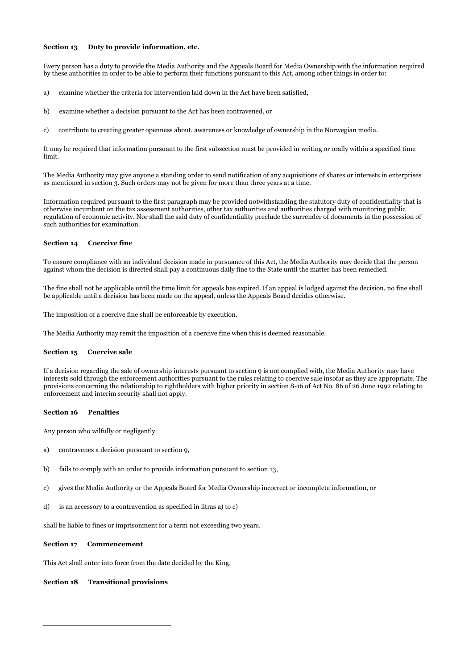## Section 13 Duty to provide information, etc.

Every person has a duty to provide the Media Authority and the Appeals Board for Media Ownership with the information required by these authorities in order to be able to perform their functions pursuant to this Act, among other things in order to:

- a) examine whether the criteria for intervention laid down in the Act have been satisfied,
- b) examine whether a decision pursuant to the Act has been contravened, or
- c) contribute to creating greater openness about, awareness or knowledge of ownership in the Norwegian media.

It may be required that information pursuant to the first subsection must be provided in writing or orally within a specified time limit.

The Media Authority may give anyone a standing order to send notification of any acquisitions of shares or interests in enterprises as mentioned in section 3. Such orders may not be given for more than three years at a time.

Information required pursuant to the first paragraph may be provided notwithstanding the statutory duty of confidentiality that is otherwise incumbent on the tax assessment authorities, other tax authorities and authorities charged with monitoring public regulation of economic activity. Nor shall the said duty of confidentiality preclude the surrender of documents in the possession of such authorities for examination.

### Section 14 Coercive fine

To ensure compliance with an individual decision made in pursuance of this Act, the Media Authority may decide that the person against whom the decision is directed shall pay a continuous daily fine to the State until the matter has been remedied.

The fine shall not be applicable until the time limit for appeals has expired. If an appeal is lodged against the decision, no fine shall be applicable until a decision has been made on the appeal, unless the Appeals Board decides otherwise.

The imposition of a coercive fine shall be enforceable by execution.

The Media Authority may remit the imposition of a coercive fine when this is deemed reasonable.

#### Section 15 Coercive sale

If a decision regarding the sale of ownership interests pursuant to section 9 is not complied with, the Media Authority may have interests sold through the enforcement authorities pursuant to the rules relating to coercive sale insofar as they are appropriate. The provisions concerning the relationship to rightholders with higher priority in section 8-16 of Act No. 86 of 26 June 1992 relating to enforcement and interim security shall not apply.

#### Section 16 Penalties

Any person who wilfully or negligently

- a) contravenes a decision pursuant to section 9,
- b) fails to comply with an order to provide information pursuant to section 13,
- c) gives the Media Authority or the Appeals Board for Media Ownership incorrect or incomplete information, or
- d) is an accessory to a contravention as specified in litras a) to c)

shall be liable to fines or imprisonment for a term not exceeding two years.

#### Section 17 Commencement

This Act shall enter into force from the date decided by the King.

### Section 18 Transitional provisions